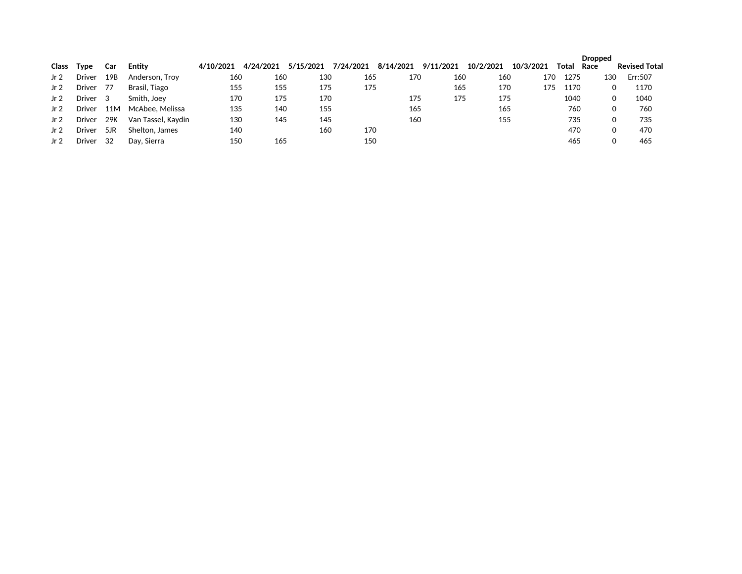|              |               |     |                    |           |           |           |           |           |           |           |           |       | <b>Dropped</b> |                      |
|--------------|---------------|-----|--------------------|-----------|-----------|-----------|-----------|-----------|-----------|-----------|-----------|-------|----------------|----------------------|
| <b>Class</b> | Type          | Car | Entity             | 4/10/2021 | 4/24/2021 | 5/15/2021 | 7/24/2021 | 8/14/2021 | 9/11/2021 | 10/2/2021 | 10/3/2021 | Total | Race           | <b>Revised Total</b> |
| Jr 2         | <b>Driver</b> | 19B | Anderson, Troy     | 160       | 160       | 130       | 165       | 170       | 160       | 160       | 170       | 1275  | 130            | Err:507              |
| Jr 2         | <b>Driver</b> | -77 | Brasil, Tiago      | 155       | 155       | 175       | 175       |           | 165       | 170       | 175       | 1170  |                | 1170<br>0            |
| Jr 2         | Driver        | 3   | Smith, Joev        | 170       | 175       | 170       |           | 175       | 175       | 175       |           | 1040  |                | 1040<br>0            |
| Jr $2$       | <b>Driver</b> | 11M | McAbee, Melissa    | 135       | 140       | 155       |           | 165       |           | 165       |           | 760   |                | 760<br>0             |
| Jr 2         | <b>Driver</b> | 29K | Van Tassel, Kavdin | 130       | 145       | 145       |           | 160       |           | 155       |           | 735   |                | 735<br>0             |
| Jr 2         | <b>Driver</b> | 5JR | Shelton, James     | 140       |           | 160       | 170       |           |           |           |           | 470   |                | 470<br>0             |
| Jr 2         | <b>Driver</b> | -32 | Day, Sierra        | 150       | 165       |           | 150       |           |           |           |           | 465   |                | 465                  |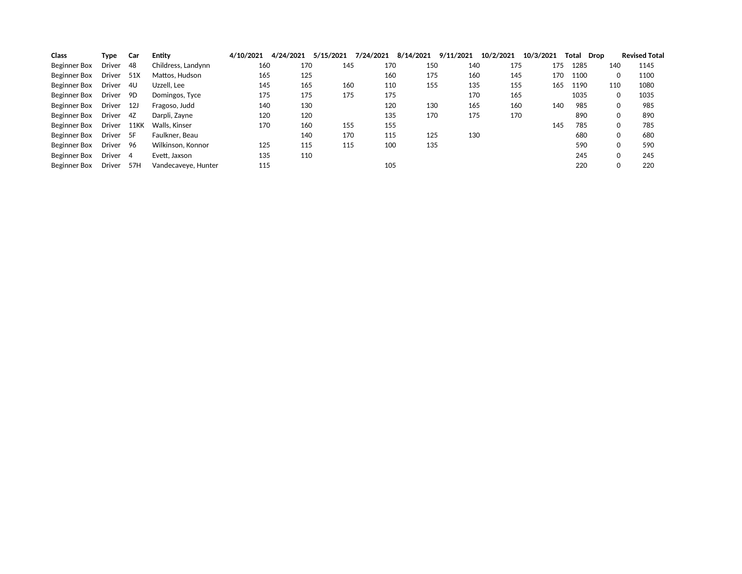| <b>Class</b> | Type          | Car  | Entity              | 4/10/2021 | 4/24/2021 | 5/15/2021 | 7/24/2021 | 8/14/2021 | 9/11/2021 | 10/2/2021 | 10/3/2021 | Total | Drop | <b>Revised Total</b> |
|--------------|---------------|------|---------------------|-----------|-----------|-----------|-----------|-----------|-----------|-----------|-----------|-------|------|----------------------|
| Beginner Box | Driver        | 48   | Childress, Landynn  | 160       | 170       | 145       | 170       | 150       | 140       | 175       | 175       | 1285  | 140  | 1145                 |
| Beginner Box | Driver        | 51X  | Mattos, Hudson      | 165       | 125       |           | 160       | 175       | 160       | 145       | 170       | 1100  |      | 1100                 |
| Beginner Box | Driver        | 4U   | Uzzell, Lee         | 145       | 165       | 160       | 110       | 155       | 135       | 155       | 165       | 1190  | 110  | 1080                 |
| Beginner Box | <b>Driver</b> | 9D   | Domingos, Tyce      | 175       | 175       | 175       | 175       |           | 170       | 165       |           | 1035  |      | 1035                 |
| Beginner Box | Driver        | 12J  | Fragoso, Judd       | 140       | 130       |           | 120       | 130       | 165       | 160       | 140       | 985   |      | 985                  |
| Beginner Box | Driver        | 4Z   | Darpli, Zavne       | 120       | 120       |           | 135       | 170       | 175       | 170       |           | 890   |      | 890                  |
| Beginner Box | Driver        | 11KK | Walls, Kinser       | 170       | 160       | 155       | 155       |           |           |           | 145       | 785   |      | 785                  |
| Beginner Box | Driver        | 5F   | Faulkner, Beau      |           | 140       | 170       | 115       | 125       | 130       |           |           | 680   |      | 680                  |
| Beginner Box | Driver        | 96   | Wilkinson, Konnor   | 125       | 115       | 115       | 100       | 135       |           |           |           | 590   |      | 590                  |
| Beginner Box | Driver 4      |      | Evett, Jaxson       | 135       | 110       |           |           |           |           |           |           | 245   |      | 245                  |
| Beginner Box | Driver        | 57H  | Vandecaveye, Hunter | 115       |           |           | 105       |           |           |           |           | 220   |      | 220                  |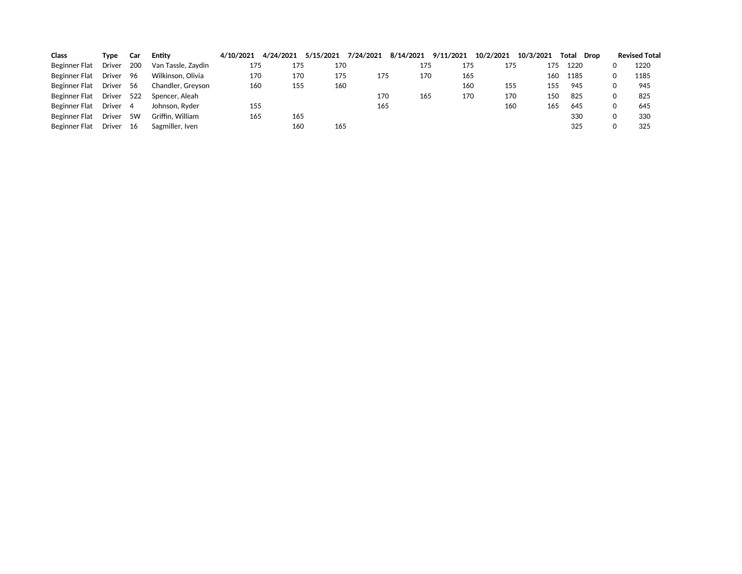| <b>Class</b>         | Type          | Car | Entitv             | 4/10/2021 | 4/24/2021 | 5/15/2021 | 7/24/2021 | 8/14/2021 | 9/11/2021 | 10/2/2021 | 10/3/2021 | Total<br>Drop | <b>Revised Total</b> |
|----------------------|---------------|-----|--------------------|-----------|-----------|-----------|-----------|-----------|-----------|-----------|-----------|---------------|----------------------|
| Beginner Flat        | Driver        | 200 | Van Tassle, Zavdin | 175       | 175       | 170       |           | 175       | 175       | 175       | 175       | 1220          | 1220                 |
| Beginner Flat        | <b>Driver</b> | 96  | Wilkinson, Olivia  | 170       | 170       | 175       | 175       | 170       | 165       |           | 160       | 1185          | 1185                 |
| Beginner Flat        | <b>Driver</b> | -56 | Chandler, Grevson  | 160       | 155       | 160       |           |           | 160       | 155       | 155       | 945           | 945                  |
| Beginner Flat        | Driver        | 522 | Spencer, Aleah     |           |           |           | 170       | 165       | 170       | 170       | 150       | 825           | 825                  |
| Beginner Flat        | Driver        | -4  | Johnson, Ryder     | 155       |           |           | 165       |           |           | 160       | 165       | 645           | 645                  |
| <b>Beginner Flat</b> | <b>Driver</b> | 5W  | Griffin, William   | 165       | 165       |           |           |           |           |           |           | 330           | 330                  |
| <b>Beginner Flat</b> | <b>Driver</b> | -16 | Sagmiller, Iven    |           | 160       | 165       |           |           |           |           |           | 325           | 325                  |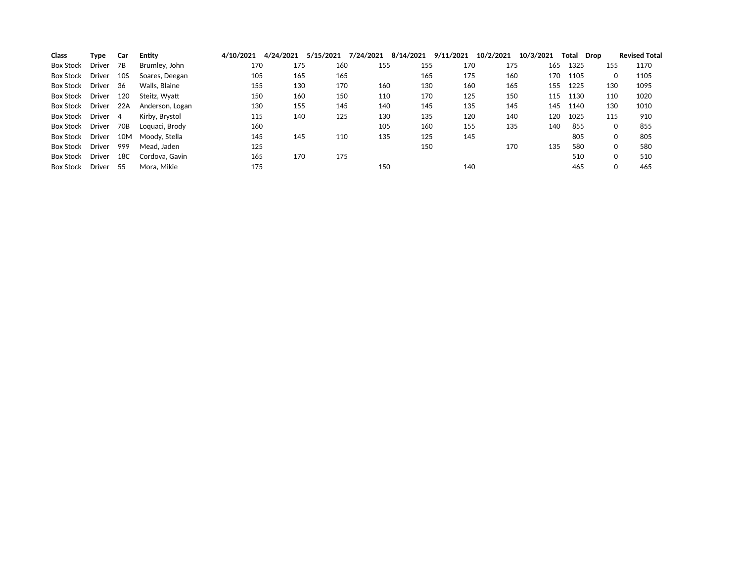| <b>Class</b>     | Type       | Car  | Entity          | 4/10/2021 | 4/24/2021 | 5/15/2021 | 7/24/2021 | 8/14/2021 | 9/11/2021 | 10/2/2021 | 10/3/2021 | Total | Drop | <b>Revised Total</b> |
|------------------|------------|------|-----------------|-----------|-----------|-----------|-----------|-----------|-----------|-----------|-----------|-------|------|----------------------|
| <b>Box Stock</b> | Driver     | 7B   | Brumley, John   | 170       | 175       | 160       | 155       | 155       | 170       | 175       | 165       | 1325  |      | 1170<br>155          |
| <b>Box Stock</b> | Driver     | 10S  | Soares, Deegan  | 105       | 165       | 165       |           | 165       | 175       | 160       | 170       | 1105  |      | 1105<br>0            |
| Box Stock        | Driver     | - 36 | Walls, Blaine   | 155       | 130       | 170       | 160       | 130       | 160       | 165       | 155       | 1225  |      | 1095<br>130          |
| Box Stock        | Driver     | 120  | Steitz, Wyatt   | 150       | 160       | 150       | 110       | 170       | 125       | 150       | 115       | 1130  |      | 110<br>1020          |
| Box Stock        | Driver 22A |      | Anderson, Logan | 130       | 155       | 145       | 140       | 145       | 135       | 145       | 145       | 1140  |      | 130<br>1010          |
| Box Stock        | Driver 4   |      | Kirby, Brystol  | 115       | 140       | 125       | 130       | 135       | 120       | 140       | 120       | 1025  |      | 115<br>910           |
| Box Stock        | Driver     | 70B  | Loguaci, Brody  | 160       |           |           | 105       | 160       | 155       | 135       | 140       | 855   |      | 855<br>0             |
| Box Stock        | Driver     | 10M  | Moodv. Stella   | 145       | 145       | 110       | 135       | 125       | 145       |           |           | 805   |      | 805<br>0             |
| Box Stock        | Driver     | 999  | Mead. Jaden     | 125       |           |           |           | 150       |           | 170       | 135       | 580   |      | 580<br>0             |
| Box Stock        | Driver     | 18C  | Cordova, Gavin  | 165       | 170       | 175       |           |           |           |           |           | 510   |      | 510<br>0             |
| <b>Box Stock</b> | Driver 55  |      | Mora, Mikie     | 175       |           |           | 150       |           | 140       |           |           | 465   |      | 465                  |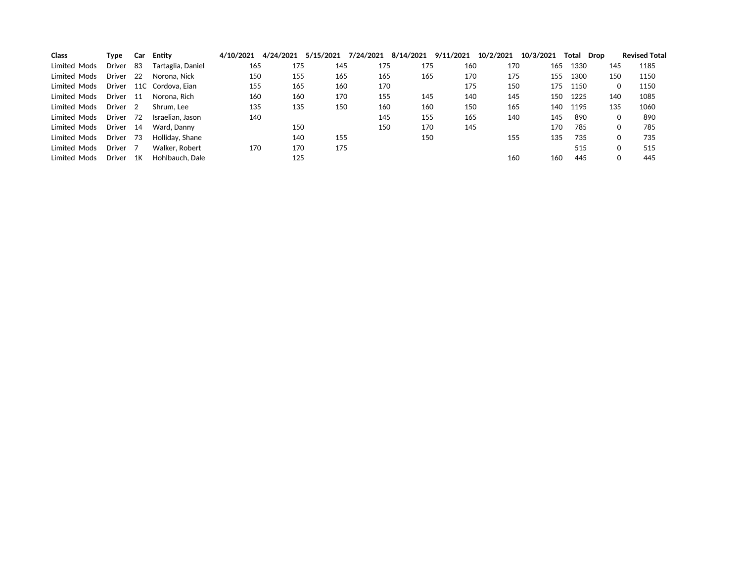| <b>Class</b> | Type                | Car  | Entity            | 4/10/2021 | 4/24/2021 | 5/15/2021 | 7/24/2021 | 8/14/2021 | 9/11/2021 | 10/2/2021 | 10/3/2021 | Total | Drop |     | <b>Revised Total</b> |
|--------------|---------------------|------|-------------------|-----------|-----------|-----------|-----------|-----------|-----------|-----------|-----------|-------|------|-----|----------------------|
| Limited Mods | Driver              | -83  | Tartaglia, Daniel | 165       | 175       | 145       | 175       | 175       | 160       | 170       | 165       | 1330  |      | 145 | 1185                 |
| Limited Mods | Driver              | - 22 | Norona, Nick      | 150       | 155       | 165       | 165       | 165       | 170       | 175       | 155       | 1300  |      | 150 | 1150                 |
| Limited Mods | Driver              |      | 11C Cordova. Eian | 155       | 165       | 160       | 170       |           | 175       | 150       | 175       | 1150  |      | 0   | 1150                 |
| Limited Mods | Driver 11           |      | Norona. Rich      | 160       | 160       | 170       | 155       | 145       | 140       | 145       | 150       | 1225  |      | 140 | 1085                 |
| Limited Mods | Driver <sub>2</sub> |      | Shrum. Lee        | 135       | 135       | 150       | 160       | 160       | 150       | 165       | 140       | 1195  |      | 135 | 1060                 |
| Limited Mods | Driver              | 72   | Israelian, Jason  | 140       |           |           | 145       | 155       | 165       | 140       | 145       | 890   |      |     | 890                  |
| Limited Mods | Driver              | - 14 | Ward, Danny       |           | 150       |           | 150       | 170       | 145       |           | 170       | 785   |      |     | 785                  |
| Limited Mods | Driver 73           |      | Holliday, Shane   |           | 140       | 155       |           | 150       |           | 155       | 135       | 735   |      |     | 735                  |
| Limited Mods | Driver              | - 7  | Walker, Robert    | 170       | 170       | 175       |           |           |           |           |           | 515   |      |     | 515                  |
| Limited Mods | Driver              | 1K   | Hohlbauch, Dale   |           | 125       |           |           |           |           | 160       | 160       | 445   |      |     | 445                  |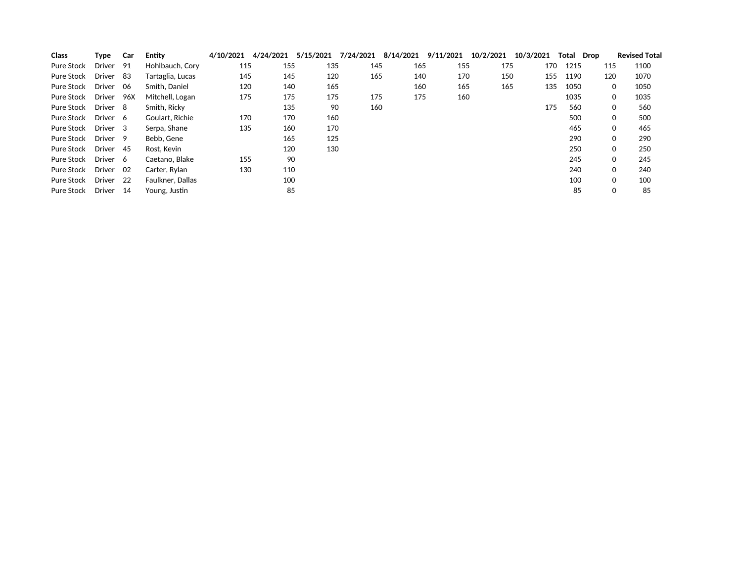| <b>Class</b> | Type          | Car  | Entity                  | 4/10/2021 | 4/24/2021 | 5/15/2021 | 7/24/2021 | 8/14/2021 | 9/11/2021 | 10/2/2021 | 10/3/2021 | Total Drop |              | <b>Revised Total</b> |
|--------------|---------------|------|-------------------------|-----------|-----------|-----------|-----------|-----------|-----------|-----------|-----------|------------|--------------|----------------------|
| Pure Stock   | <b>Driver</b> | 91   | Hohlbauch, Cory         | 115       | 155       | 135       | 145       | 165       | 155       | 175       | 170       | 1215       | 115          | 1100                 |
| Pure Stock   | <b>Driver</b> | -83  | Tartaglia, Lucas        | 145       | 145       | 120       | 165       | 140       | 170       | 150       | 155       | 1190       | 120          | 1070                 |
| Pure Stock   | Driver        | - 06 | Smith, Daniel           | 120       | 140       | 165       |           | 160       | 165       | 165       | 135       | 1050       | $\mathbf{0}$ | 1050                 |
| Pure Stock   | Driver        | 96X  | Mitchell, Logan         | 175       | 175       | 175       | 175       | 175       | 160       |           |           | 1035       | $\mathbf{0}$ | 1035                 |
| Pure Stock   | Driver        | 8    | Smith, Ricky            |           | 135       | 90        | 160       |           |           |           | 175       | 560        | 0            | 560                  |
| Pure Stock   | Driver 6      |      | Goulart, Richie         | 170       | 170       | 160       |           |           |           |           |           | 500        | $\Omega$     | 500                  |
| Pure Stock   | Driver 3      |      | Serpa, Shane            | 135       | 160       | 170       |           |           |           |           |           | 465        | $\Omega$     | 465                  |
| Pure Stock   | Driver        | -9   | Bebb. Gene              |           | 165       | 125       |           |           |           |           |           | 290        | 0            | 290                  |
| Pure Stock   | Driver        | -45  | Rost, Kevin             |           | 120       | 130       |           |           |           |           |           | 250        | $\Omega$     | 250                  |
| Pure Stock   | Driver 6      |      | Caetano, Blake          | 155       | 90        |           |           |           |           |           |           | 245        | $\Omega$     | 245                  |
| Pure Stock   | Driver        | - 02 | Carter, Rylan           | 130       | 110       |           |           |           |           |           |           | 240        | $\mathbf{O}$ | 240                  |
| Pure Stock   | <b>Driver</b> | 22   | <b>Faulkner, Dallas</b> |           | 100       |           |           |           |           |           |           | 100        | $\Omega$     | 100                  |
| Pure Stock   | <b>Driver</b> | 14   | Young, Justin           |           | 85        |           |           |           |           |           |           | 85         | 0            | 85                   |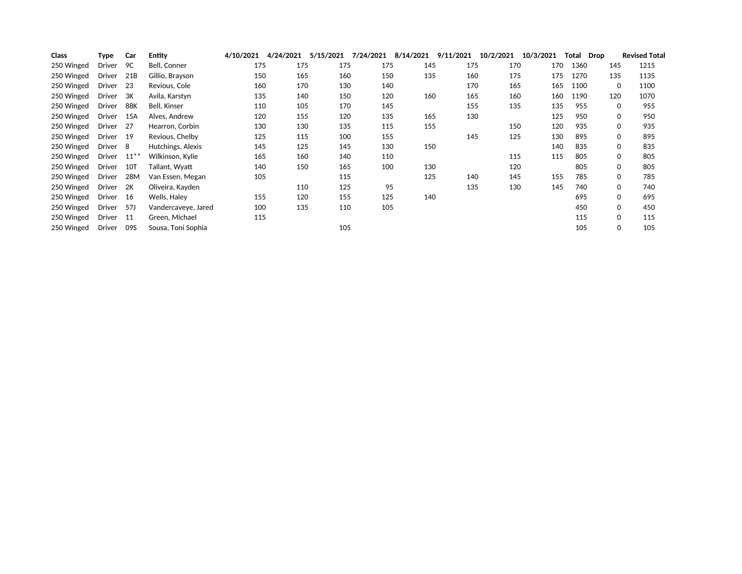| Class      | Type          | Car       | <b>Entity</b>       | 4/10/2021 | 4/24/2021 | 5/15/2021 | 7/24/2021 | 8/14/2021 | 9/11/2021 | 10/2/2021 | 10/3/2021 | Total | Drop |              | <b>Revised Total</b> |
|------------|---------------|-----------|---------------------|-----------|-----------|-----------|-----------|-----------|-----------|-----------|-----------|-------|------|--------------|----------------------|
| 250 Winged | Driver        | 9C        | Bell, Conner        | 175       | 175       | 175       | 175       | 145       | 175       | 170       | 170       | 1360  |      | 145          | 1215                 |
| 250 Winged | Driver        | 21B       | Gillio, Brayson     | 150       | 165       | 160       | 150       | 135       | 160       | 175       | 175       | 1270  |      | 135          | 1135                 |
| 250 Winged | Driver        | -23       | Revious, Cole       | 160       | 170       | 130       | 140       |           | 170       | 165       | 165       | 1100  |      | 0            | 1100                 |
| 250 Winged | Driver        | ЗК        | Avila, Karstyn      | 135       | 140       | 150       | 120       | 160       | 165       | 160       | 160       | 1190  |      | 120          | 1070                 |
| 250 Winged | <b>Driver</b> | 88K       | <b>Bell. Kinser</b> | 110       | 105       | 170       | 145       |           | 155       | 135       | 135       | 955   |      | $\Omega$     | 955                  |
| 250 Winged | <b>Driver</b> | 15A       | Alves, Andrew       | 120       | 155       | 120       | 135       | 165       | 130       |           | 125       | 950   |      | $\Omega$     | 950                  |
| 250 Winged | <b>Driver</b> | 27        | Hearron, Corbin     | 130       | 130       | 135       | 115       | 155       |           | 150       | 120       | 935   |      | 0            | 935                  |
| 250 Winged | Driver        | - 19      | Revious, Chelby     | 125       | 115       | 100       | 155       |           | 145       | 125       | 130       | 895   |      | 0            | 895                  |
| 250 Winged | Driver        | - 8       | Hutchings, Alexis   | 145       | 125       | 145       | 130       | 150       |           |           | 140       | 835   |      | 0            | 835                  |
| 250 Winged | Driver        | $11^{**}$ | Wilkinson, Kylie    | 165       | 160       | 140       | 110       |           |           | 115       | 115       | 805   |      | 0            | 805                  |
| 250 Winged | Driver        | 101       | Tallant, Wyatt      | 140       | 150       | 165       | 100       | 130       |           | 120       |           | 805   |      | 0            | 805                  |
| 250 Winged | Driver        | 28M       | Van Essen, Megan    | 105       |           | 115       |           | 125       | 140       | 145       | 155       | 785   |      | 0            | 785                  |
| 250 Winged | Driver        | 2K        | Oliveira, Kayden    |           | 110       | 125       | 95        |           | 135       | 130       | 145       | 740   |      | $\Omega$     | 740                  |
| 250 Winged | Driver        | -16       | Wells, Halev        | 155       | 120       | 155       | 125       | 140       |           |           |           | 695   |      | $\Omega$     | 695                  |
| 250 Winged | Driver        | 57J       | Vandercaveye, Jared | 100       | 135       | 110       | 105       |           |           |           |           | 450   |      | $\mathbf{0}$ | 450                  |
| 250 Winged | Driver        | -11       | Green, Michael      | 115       |           |           |           |           |           |           |           | 115   |      | $\Omega$     | 115                  |
| 250 Winged | Driver        | 09S       | Sousa, Toni Sophia  |           |           | 105       |           |           |           |           |           | 105   |      | 0            | 105                  |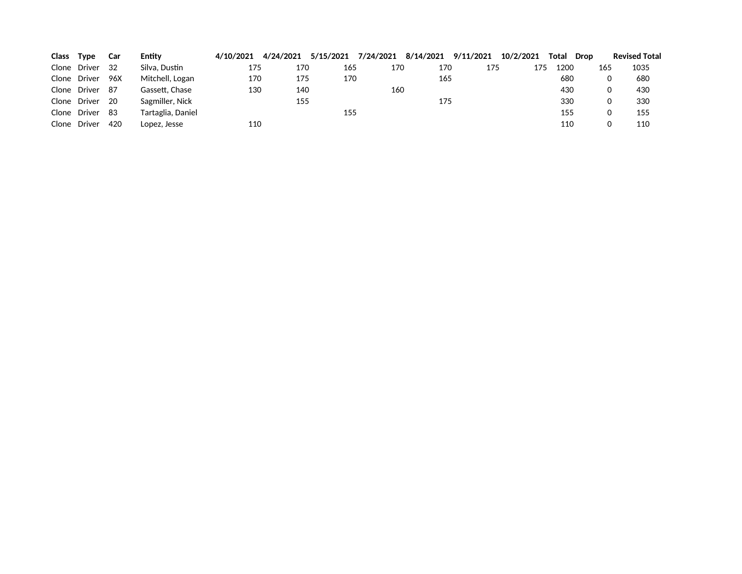| Class | <b>Type</b>  | Car  | Entity            | 4/10/2021 | 4/24/2021 | 5/15/2021 | 7/24/2021 | 8/14/2021 9/11/2021 |     | 10/2/2021 | Total | Drop | <b>Revised Total</b> |
|-------|--------------|------|-------------------|-----------|-----------|-----------|-----------|---------------------|-----|-----------|-------|------|----------------------|
|       | Clone Driver | - 32 | Silva. Dustin     | 175       | 170       | 165       | 170       | 170                 | 175 | 175       | 1200  | 165  | 1035                 |
|       | Clone Driver | 96X  | Mitchell, Logan   | 170       | 175       | 170       |           | 165                 |     |           | 680   |      | 680<br>0             |
|       | Clone Driver | - 87 | Gassett. Chase    | 130       | 140       |           | 160       |                     |     |           | 430   |      | 430<br>0             |
|       | Clone Driver | - 20 | Sagmiller, Nick   |           | 155       |           |           | 175                 |     |           | 330   |      | 330<br>0             |
|       | Clone Driver | -83  | Tartaglia, Daniel |           |           | 155       |           |                     |     |           | 155   |      | 155<br>0             |
|       | Clone Driver | 420  | Lopez, Jesse      | 110       |           |           |           |                     |     |           | 110   |      | 110                  |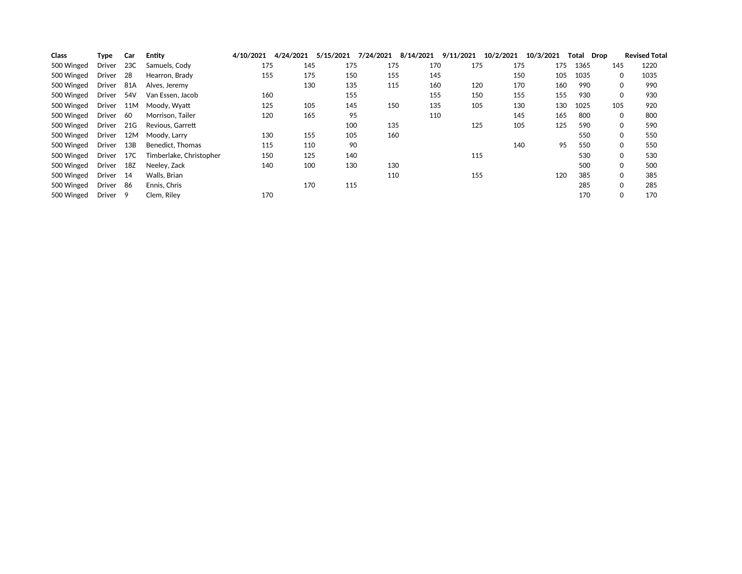| <b>Class</b> | Type                | Car  | Entity                  | 4/10/2021 | 4/24/2021 | 5/15/2021 | 7/24/2021 | 8/14/2021 | 9/11/2021 | 10/2/2021 | 10/3/2021 | Total | Drop |              | <b>Revised Total</b> |
|--------------|---------------------|------|-------------------------|-----------|-----------|-----------|-----------|-----------|-----------|-----------|-----------|-------|------|--------------|----------------------|
| 500 Winged   | Driver              | 23C  | Samuels, Cody           | 175       | 145       | 175       | 175       | 170       | 175       | 175       | 175       | 1365  |      | 145          | 1220                 |
| 500 Winged   | Driver              | -28  | Hearron, Brady          | 155       | 175       | 150       | 155       | 145       |           | 150       | 105       | 1035  |      | $\Omega$     | 1035                 |
| 500 Winged   | Driver              | 81A  | Alves, Jeremy           |           | 130       | 135       | 115       | 160       | 120       | 170       | 160       | 990   |      | $\Omega$     | 990                  |
| 500 Winged   | Driver              | 54V  | Van Essen, Jacob        | 160       |           | 155       |           | 155       | 150       | 155       | 155       | 930   |      | 0            | 930                  |
| 500 Winged   | Driver              | 11M  | Moody. Wyatt            | 125       | 105       | 145       | 150       | 135       | 105       | 130       | 130       | 1025  |      | 105          | 920                  |
| 500 Winged   | Driver              | - 60 | Morrison, Tailer        | 120       | 165       | 95        |           | 110       |           | 145       | 165       | 800   |      | $\mathbf{0}$ | 800                  |
| 500 Winged   | Driver              | 21G  | Revious, Garrett        |           |           | 100       | 135       |           | 125       | 105       | 125       | 590   |      | $\mathbf{0}$ | 590                  |
| 500 Winged   | Driver              | 12M  | Moody. Larry            | 130       | 155       | 105       | 160       |           |           |           |           | 550   |      | $\Omega$     | 550                  |
| 500 Winged   | Driver              | 13B  | Benedict, Thomas        | 115       | 110       | 90        |           |           |           | 140       | 95        | 550   |      | $\mathbf{0}$ | 550                  |
| 500 Winged   | Driver              | 17C  | Timberlake, Christopher | 150       | 125       | 140       |           |           | 115       |           |           | 530   |      | $\Omega$     | 530                  |
| 500 Winged   | Driver              | 18Z  | Neelev. Zack            | 140       | 100       | 130       | 130       |           |           |           |           | 500   |      | $\mathbf{0}$ | 500                  |
| 500 Winged   | Driver              | -14  | Walls, Brian            |           |           |           | 110       |           | 155       |           | 120       | 385   |      | $\Omega$     | 385                  |
| 500 Winged   | Driver              | - 86 | Ennis, Chris            |           | 170       | 115       |           |           |           |           |           | 285   |      | $\Omega$     | 285                  |
| 500 Winged   | Driver <sub>9</sub> |      | Clem. Rilev             | 170       |           |           |           |           |           |           |           | 170   |      | $\mathbf{0}$ | 170                  |